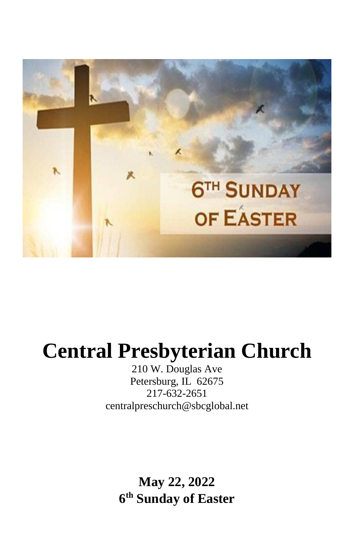

# **Central Presbyterian Church**

210 W. Douglas Ave Petersburg, IL 62675 217-632-2651 [centralpreschurch@sbcglobal.net](mailto:centralpreschurch@sbcglobal.net)

> **May 22, 2022 6 th Sunday of Easter**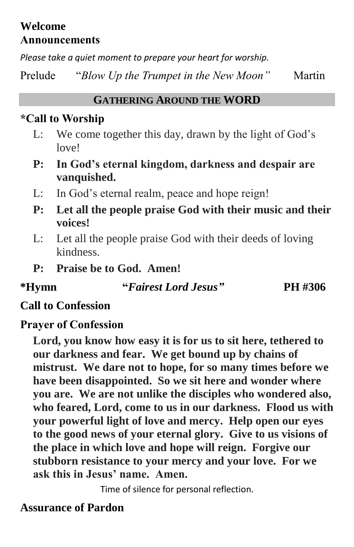## **Welcome Announcements**

*Please take a quiet moment to prepare your heart for worship.*

Prelude "*Blow Up the Trumpet in the New Moon*" Martin

### **GATHERING AROUND THE WORD**

## **\*Call to Worship**

- L: We come together this day, drawn by the light of God's love!
- **P: In God's eternal kingdom, darkness and despair are vanquished.**
- L: In God's eternal realm, peace and hope reign!
- **P: Let all the people praise God with their music and their voices!**
- L: Let all the people praise God with their deeds of loving kindness.
- **P: Praise be to God. Amen!**

**\*Hymn "***Fairest Lord Jesus"* **PH #306**

## **Call to Confession**

# **Prayer of Confession**

**Lord, you know how easy it is for us to sit here, tethered to our darkness and fear. We get bound up by chains of mistrust. We dare not to hope, for so many times before we have been disappointed. So we sit here and wonder where you are. We are not unlike the disciples who wondered also, who feared, Lord, come to us in our darkness. Flood us with your powerful light of love and mercy. Help open our eyes to the good news of your eternal glory. Give to us visions of the place in which love and hope will reign. Forgive our stubborn resistance to your mercy and your love. For we ask this in Jesus' name. Amen.**

Time of silence for personal reflection.

# **Assurance of Pardon**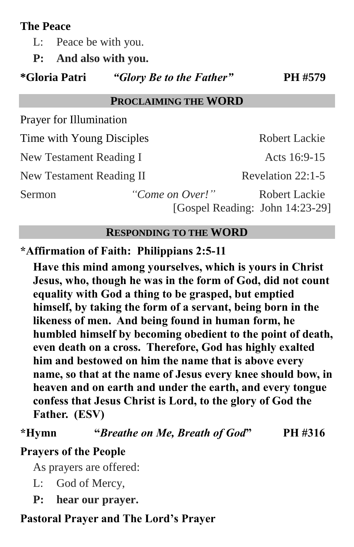## **The Peace**

L: Peace be with you.

**P: And also with you.**

**\*Gloria Patri** *"Glory Be to the Father"* **PH #579**

#### **PROCLAIMING THE WORD**

Prayer for Illumination

Time with Young Disciples Robert Lackie

New Testament Reading I Acts 16:9-15

New Testament Reading II Revelation 22:1-5

Sermon *"Come on Over!"* Robert Lackie [Gospel Reading: John 14:23-29]

#### **RESPONDING TO THE WORD**

## **\*Affirmation of Faith: Philippians 2:5-11**

**Have this mind among yourselves, which is yours in Christ Jesus, who, though he was in the form of God, did not count equality with God a thing to be grasped, but emptied himself, by taking the form of a servant, being born in the likeness of men. And being found in human form, he humbled himself by becoming obedient to the point of death, even death on a cross. Therefore, God has highly exalted him and bestowed on him the name that is above every name, so that at the name of Jesus every knee should bow, in heaven and on earth and under the earth, and every tongue confess that Jesus Christ is Lord, to the glory of God the Father. (ESV)**

**\*Hymn "***Breathe on Me, Breath of God***" PH #316**

## **Prayers of the People**

As prayers are offered:

- L: God of Mercy,
- **P: hear our prayer.**

## **Pastoral Prayer and The Lord's Prayer**